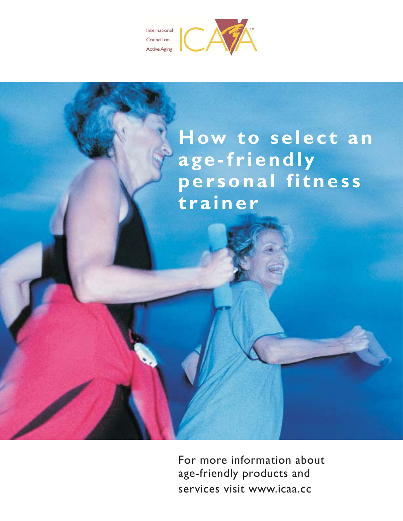



For more information about age-friendly products and services visit www.icaa.cc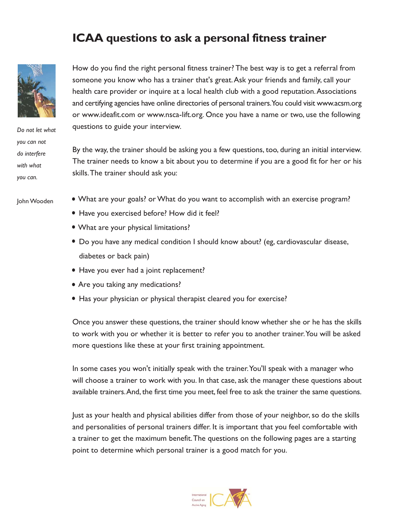## ICAA questions to ask a personal fitness trainer



Do not let what you can not do interfere with what you can.

How do you find the right personal fitness trainer? The best way is to get a referral from someone you know who has a trainer that's great. Ask your friends and family, call your health care provider or inquire at a local health club with a good reputation. Associations and certifying agencies have online directories of personal trainers. You could visit www.acsm.org or www.ideafit.com or www.nsca-lift.org. Once you have a name or two, use the following questions to guide your interview.

By the way, the trainer should be asking you a few questions, too, during an initial interview. The trainer needs to know a bit about you to determine if you are a good fit for her or his skills. The trainer should ask you:

John Wooden

- What are your goals? or What do you want to accomplish with an exercise program?
	- · Have you exercised before? How did it feel?
	- What are your physical limitations?
	- Do you have any medical condition I should know about? (eg, cardiovascular disease, diabetes or back pain)
	- Have you ever had a joint replacement?
	- Are you taking any medications?
	- Has your physician or physical therapist cleared you for exercise?

Once you answer these questions, the trainer should know whether she or he has the skills to work with you or whether it is better to refer you to another trainer. You will be asked more questions like these at your first training appointment.

In some cases you won't initially speak with the trainer. You'll speak with a manager who will choose a trainer to work with you. In that case, ask the manager these questions about available trainers. And, the first time you meet, feel free to ask the trainer the same questions.

Just as your health and physical abilities differ from those of your neighbor, so do the skills and personalities of personal trainers differ. It is important that you feel comfortable with a trainer to get the maximum benefit. The questions on the following pages are a starting point to determine which personal trainer is a good match for you.

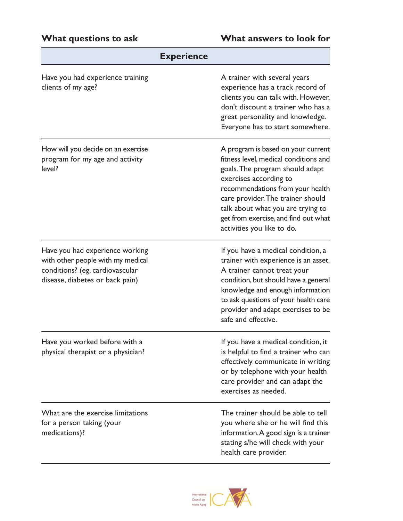| <b>Experience</b>                                                                                                                          |                                                                                                                                                                                                                                                                                                                              |
|--------------------------------------------------------------------------------------------------------------------------------------------|------------------------------------------------------------------------------------------------------------------------------------------------------------------------------------------------------------------------------------------------------------------------------------------------------------------------------|
| Have you had experience training<br>clients of my age?                                                                                     | A trainer with several years<br>experience has a track record of<br>clients you can talk with. However,<br>don't discount a trainer who has a<br>great personality and knowledge.<br>Everyone has to start somewhere.                                                                                                        |
| How will you decide on an exercise<br>program for my age and activity<br>level?                                                            | A program is based on your current<br>fitness level, medical conditions and<br>goals. The program should adapt<br>exercises according to<br>recommendations from your health<br>care provider. The trainer should<br>talk about what you are trying to<br>get from exercise, and find out what<br>activities you like to do. |
| Have you had experience working<br>with other people with my medical<br>conditions? (eg, cardiovascular<br>disease, diabetes or back pain) | If you have a medical condition, a<br>trainer with experience is an asset.<br>A trainer cannot treat your<br>condition, but should have a general<br>knowledge and enough information<br>to ask questions of your health care<br>provider and adapt exercises to be<br>safe and effective.                                   |
| Have you worked before with a<br>physical therapist or a physician?                                                                        | If you have a medical condition, it<br>is helpful to find a trainer who can<br>effectively communicate in writing<br>or by telephone with your health<br>care provider and can adapt the<br>exercises as needed.                                                                                                             |
| What are the exercise limitations<br>for a person taking (your<br>medications)?                                                            | The trainer should be able to tell<br>you where she or he will find this<br>information. A good sign is a trainer<br>stating s/he will check with your<br>health care provider.                                                                                                                                              |

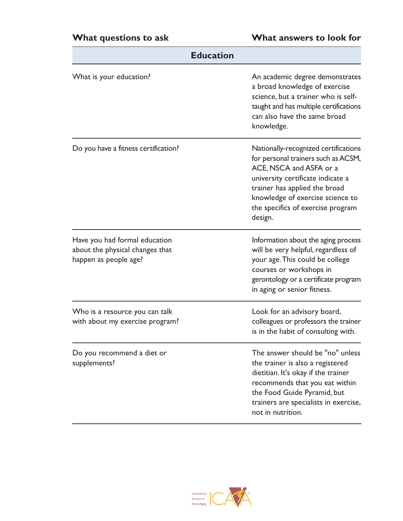| <b>Education</b>                                                                          |                                                                                                                                                                                                                                                                  |  |
|-------------------------------------------------------------------------------------------|------------------------------------------------------------------------------------------------------------------------------------------------------------------------------------------------------------------------------------------------------------------|--|
| What is your education?                                                                   | An academic degree demonstrates<br>a broad knowledge of exercise<br>science, but a trainer who is self-<br>taught and has multiple certifications<br>can also have the same broad<br>knowledge.                                                                  |  |
| Do you have a fitness certification?                                                      | Nationally-recognized certifications<br>for personal trainers such as ACSM,<br>ACE, NSCA and ASFA or a<br>university certificate indicate a<br>trainer has applied the broad<br>knowledge of exercise science to<br>the specifics of exercise program<br>design. |  |
| Have you had formal education<br>about the physical changes that<br>happen as people age? | Information about the aging process<br>will be very helpful, regardless of<br>your age. This could be college<br>courses or workshops in<br>gerontology or a certificate program<br>in aging or senior fitness.                                                  |  |
| Who is a resource you can talk<br>with about my exercise program?                         | Look for an advisory board,<br>colleagues or professors the trainer<br>is in the habit of consulting with.                                                                                                                                                       |  |
| Do you recommend a diet or<br>supplements?                                                | The answer should be "no" unless<br>the trainer is also a registered<br>dietitian. It's okay if the trainer<br>recommends that you eat within<br>the Food Guide Pyramid, but<br>trainers are specialists in exercise,<br>not in nutrition.                       |  |

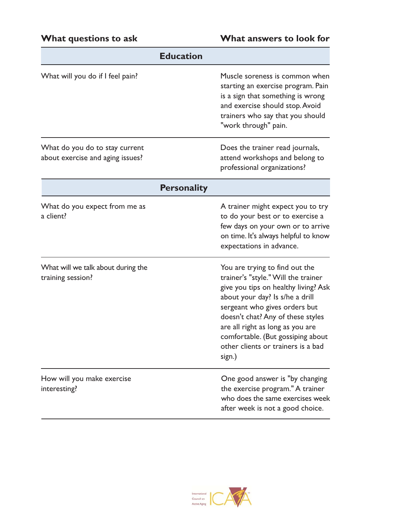|                                                                    | <b>Education</b>   |                                                                                                                                                                                                                                                                                                                                                 |
|--------------------------------------------------------------------|--------------------|-------------------------------------------------------------------------------------------------------------------------------------------------------------------------------------------------------------------------------------------------------------------------------------------------------------------------------------------------|
| What will you do if I feel pain?                                   |                    | Muscle soreness is common when<br>starting an exercise program. Pain<br>is a sign that something is wrong<br>and exercise should stop. Avoid<br>trainers who say that you should<br>"work through" pain.                                                                                                                                        |
| What do you do to stay current<br>about exercise and aging issues? |                    | Does the trainer read journals,<br>attend workshops and belong to<br>professional organizations?                                                                                                                                                                                                                                                |
|                                                                    | <b>Personality</b> |                                                                                                                                                                                                                                                                                                                                                 |
| What do you expect from me as<br>a client?                         |                    | A trainer might expect you to try<br>to do your best or to exercise a<br>few days on your own or to arrive<br>on time. It's always helpful to know<br>expectations in advance.                                                                                                                                                                  |
| What will we talk about during the<br>training session?            |                    | You are trying to find out the<br>trainer's "style." Will the trainer<br>give you tips on healthy living? Ask<br>about your day? Is s/he a drill<br>sergeant who gives orders but<br>doesn't chat? Any of these styles<br>are all right as long as you are<br>comfortable. (But gossiping about<br>other clients or trainers is a bad<br>sign.) |
| How will you make exercise<br>interesting?                         |                    | One good answer is "by changing<br>the exercise program." A trainer<br>who does the same exercises week<br>after week is not a good choice.                                                                                                                                                                                                     |

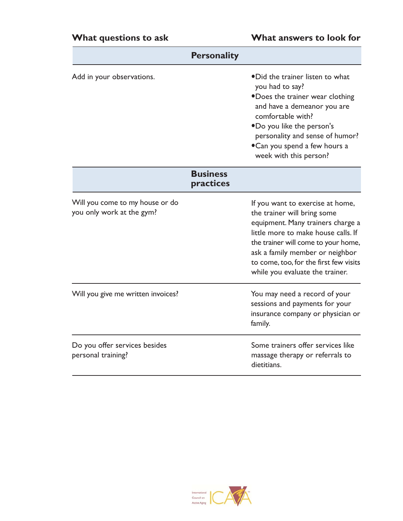| <b>Personality</b>                                           |                              |                                                                                                                                                                                                                                                                                                    |
|--------------------------------------------------------------|------------------------------|----------------------------------------------------------------------------------------------------------------------------------------------------------------------------------------------------------------------------------------------------------------------------------------------------|
| Add in your observations.                                    |                              | •Did the trainer listen to what<br>you had to say?<br>•Does the trainer wear clothing<br>and have a demeanor you are<br>comfortable with?<br>.Do you like the person's<br>personality and sense of humor?<br>•Can you spend a few hours a<br>week with this person?                                |
|                                                              | <b>Business</b><br>practices |                                                                                                                                                                                                                                                                                                    |
| Will you come to my house or do<br>you only work at the gym? |                              | If you want to exercise at home,<br>the trainer will bring some<br>equipment. Many trainers charge a<br>little more to make house calls. If<br>the trainer will come to your home,<br>ask a family member or neighbor<br>to come, too, for the first few visits<br>while you evaluate the trainer. |
| Will you give me written invoices?                           |                              | You may need a record of your<br>sessions and payments for your<br>insurance company or physician or<br>family.                                                                                                                                                                                    |
| Do you offer services besides<br>personal training?          |                              | Some trainers offer services like<br>massage therapy or referrals to<br>dietitians.                                                                                                                                                                                                                |

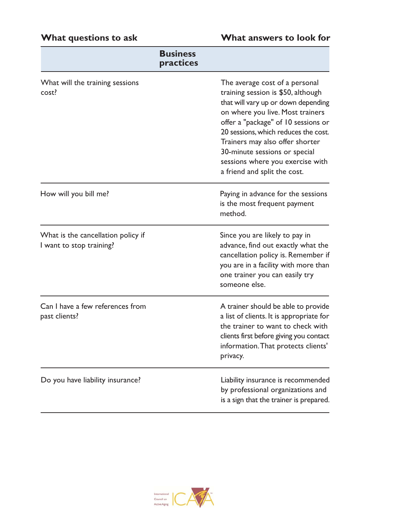# What questions to ask

## What answers to look for

|                                                                | <b>Business</b><br>practices |                                                                                                                                                                                                                                                                                                                                                                        |
|----------------------------------------------------------------|------------------------------|------------------------------------------------------------------------------------------------------------------------------------------------------------------------------------------------------------------------------------------------------------------------------------------------------------------------------------------------------------------------|
| What will the training sessions<br>cost?                       |                              | The average cost of a personal<br>training session is \$50, although<br>that will vary up or down depending<br>on where you live. Most trainers<br>offer a "package" of 10 sessions or<br>20 sessions, which reduces the cost.<br>Trainers may also offer shorter<br>30-minute sessions or special<br>sessions where you exercise with<br>a friend and split the cost. |
| How will you bill me?                                          |                              | Paying in advance for the sessions<br>is the most frequent payment<br>method.                                                                                                                                                                                                                                                                                          |
| What is the cancellation policy if<br>I want to stop training? |                              | Since you are likely to pay in<br>advance, find out exactly what the<br>cancellation policy is. Remember if<br>you are in a facility with more than<br>one trainer you can easily try<br>someone else.                                                                                                                                                                 |
| Can I have a few references from<br>past clients?              |                              | A trainer should be able to provide<br>a list of clients. It is appropriate for<br>the trainer to want to check with<br>clients first before giving you contact<br>information. That protects clients'<br>privacy.                                                                                                                                                     |
| Do you have liability insurance?                               |                              | Liability insurance is recommended<br>by professional organizations and<br>is a sign that the trainer is prepared.                                                                                                                                                                                                                                                     |

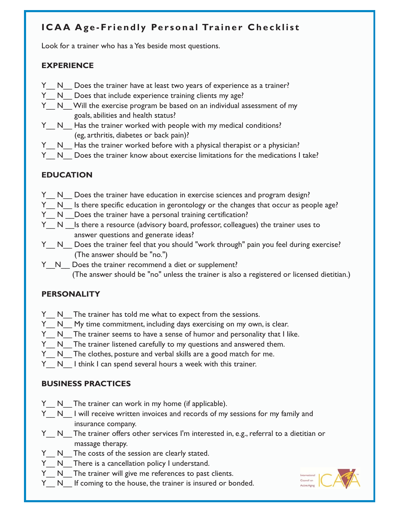### ICAA Age-Friendly Personal Trainer Checklist

Look for a trainer who has a Yes beside most questions.

#### **EXPERIENCE**

- Y N Does the trainer have at least two years of experience as a trainer?
- Y N Does that include experience training clients my age?
- Y N Will the exercise program be based on an individual assessment of my goals, abilities and health status?
- Y N Has the trainer worked with people with my medical conditions? (eg, arthritis, diabetes or back pain)?
- Y N Has the trainer worked before with a physical therapist or a physician?
- Y N Does the trainer know about exercise limitations for the medications I take?

#### **EDUCATION**

- Y N Does the trainer have education in exercise sciences and program design?
- Y N Is there specific education in gerontology or the changes that occur as people age?
- Y N Does the trainer have a personal training certification?
- Y N Is there a resource (advisory board, professor, colleagues) the trainer uses to answer questions and generate ideas?
- Y\_N\_ Does the trainer feel that you should "work through" pain you feel during exercise? (The answer should be "no.")
- Y N Does the trainer recommend a diet or supplement? (The answer should be "no" unless the trainer is also a registered or licensed dietitian.)

#### **PERSONALITY**

- Y N The trainer has told me what to expect from the sessions.
- Y N My time commitment, including days exercising on my own, is clear.
- Y N The trainer seems to have a sense of humor and personality that I like.
- Y N The trainer listened carefully to my questions and answered them.
- Y N The clothes, posture and verbal skills are a good match for me.
- Y N I think I can spend several hours a week with this trainer.

#### **BUSINESS PRACTICES**

- Y N The trainer can work in my home (if applicable).
- Y N I will receive written invoices and records of my sessions for my family and insurance company.
- Y N The trainer offers other services I'm interested in, e.g., referral to a dietitian or massage therapy.
- Y N The costs of the session are clearly stated.
- Y N There is a cancellation policy I understand.
- Y N The trainer will give me references to past clients.
- Y N If coming to the house, the trainer is insured or bonded.